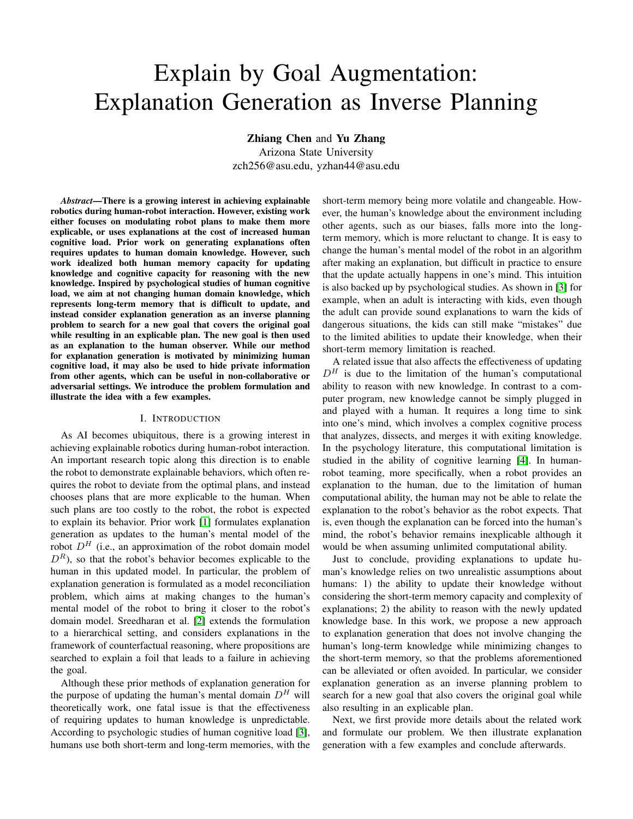# Explain by Goal Augmentation: Explanation Generation as Inverse Planning

Zhiang Chen and Yu Zhang

Arizona State University zch256@asu.edu, yzhan44@asu.edu

*Abstract*—There is a growing interest in achieving explainable robotics during human-robot interaction. However, existing work either focuses on modulating robot plans to make them more explicable, or uses explanations at the cost of increased human cognitive load. Prior work on generating explanations often requires updates to human domain knowledge. However, such work idealized both human memory capacity for updating knowledge and cognitive capacity for reasoning with the new knowledge. Inspired by psychological studies of human cognitive load, we aim at not changing human domain knowledge, which represents long-term memory that is difficult to update, and instead consider explanation generation as an inverse planning problem to search for a new goal that covers the original goal while resulting in an explicable plan. The new goal is then used as an explanation to the human observer. While our method for explanation generation is motivated by minimizing human cognitive load, it may also be used to hide private information from other agents, which can be useful in non-collaborative or adversarial settings. We introduce the problem formulation and illustrate the idea with a few examples.

### I. INTRODUCTION

As AI becomes ubiquitous, there is a growing interest in achieving explainable robotics during human-robot interaction. An important research topic along this direction is to enable the robot to demonstrate explainable behaviors, which often requires the robot to deviate from the optimal plans, and instead chooses plans that are more explicable to the human. When such plans are too costly to the robot, the robot is expected to explain its behavior. Prior work [\[1\]](#page-2-0) formulates explanation generation as updates to the human's mental model of the robot  $D<sup>H</sup>$  (i.e., an approximation of the robot domain model  $D<sup>R</sup>$ ), so that the robot's behavior becomes explicable to the human in this updated model. In particular, the problem of explanation generation is formulated as a model reconciliation problem, which aims at making changes to the human's mental model of the robot to bring it closer to the robot's domain model. Sreedharan et al. [\[2\]](#page-2-1) extends the formulation to a hierarchical setting, and considers explanations in the framework of counterfactual reasoning, where propositions are searched to explain a foil that leads to a failure in achieving the goal.

Although these prior methods of explanation generation for the purpose of updating the human's mental domain  $D<sup>H</sup>$  will theoretically work, one fatal issue is that the effectiveness of requiring updates to human knowledge is unpredictable. According to psychologic studies of human cognitive load [\[3\]](#page-2-2), humans use both short-term and long-term memories, with the short-term memory being more volatile and changeable. However, the human's knowledge about the environment including other agents, such as our biases, falls more into the longterm memory, which is more reluctant to change. It is easy to change the human's mental model of the robot in an algorithm after making an explanation, but difficult in practice to ensure that the update actually happens in one's mind. This intuition is also backed up by psychological studies. As shown in [\[3\]](#page-2-2) for example, when an adult is interacting with kids, even though the adult can provide sound explanations to warn the kids of dangerous situations, the kids can still make "mistakes" due to the limited abilities to update their knowledge, when their short-term memory limitation is reached.

A related issue that also affects the effectiveness of updating  $D<sup>H</sup>$  is due to the limitation of the human's computational ability to reason with new knowledge. In contrast to a computer program, new knowledge cannot be simply plugged in and played with a human. It requires a long time to sink into one's mind, which involves a complex cognitive process that analyzes, dissects, and merges it with exiting knowledge. In the psychology literature, this computational limitation is studied in the ability of cognitive learning [\[4\]](#page-2-3). In humanrobot teaming, more specifically, when a robot provides an explanation to the human, due to the limitation of human computational ability, the human may not be able to relate the explanation to the robot's behavior as the robot expects. That is, even though the explanation can be forced into the human's mind, the robot's behavior remains inexplicable although it would be when assuming unlimited computational ability.

Just to conclude, providing explanations to update human's knowledge relies on two unrealistic assumptions about humans: 1) the ability to update their knowledge without considering the short-term memory capacity and complexity of explanations; 2) the ability to reason with the newly updated knowledge base. In this work, we propose a new approach to explanation generation that does not involve changing the human's long-term knowledge while minimizing changes to the short-term memory, so that the problems aforementioned can be alleviated or often avoided. In particular, we consider explanation generation as an inverse planning problem to search for a new goal that also covers the original goal while also resulting in an explicable plan.

Next, we first provide more details about the related work and formulate our problem. We then illustrate explanation generation with a few examples and conclude afterwards.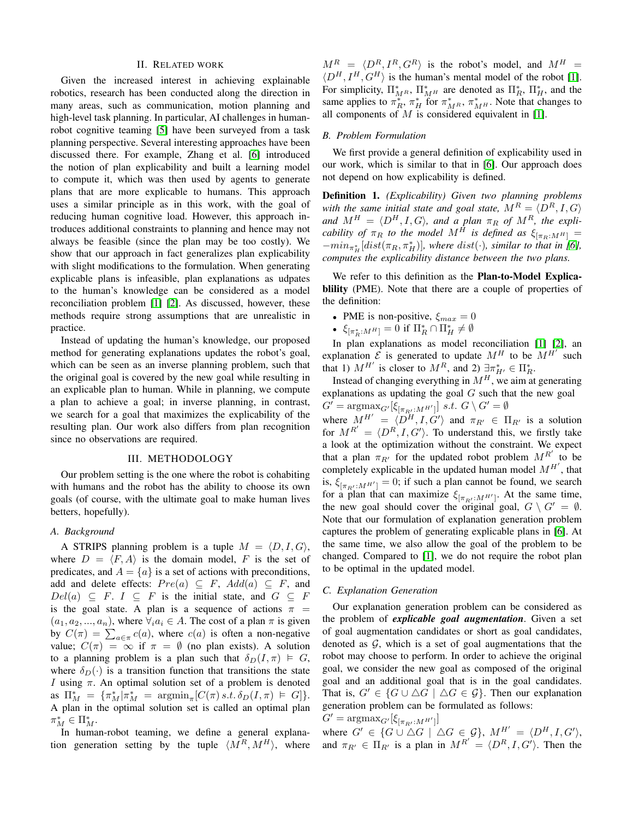### II. RELATED WORK

Given the increased interest in achieving explainable robotics, research has been conducted along the direction in many areas, such as communication, motion planning and high-level task planning. In particular, AI challenges in humanrobot cognitive teaming [\[5\]](#page-2-4) have been surveyed from a task planning perspective. Several interesting approaches have been discussed there. For example, Zhang et al. [\[6\]](#page-2-5) introduced the notion of plan explicability and built a learning model to compute it, which was then used by agents to generate plans that are more explicable to humans. This approach uses a similar principle as in this work, with the goal of reducing human cognitive load. However, this approach introduces additional constraints to planning and hence may not always be feasible (since the plan may be too costly). We show that our approach in fact generalizes plan explicability with slight modifications to the formulation. When generating explicable plans is infeasible, plan explanations as udpates to the human's knowledge can be considered as a model reconciliation problem [\[1\]](#page-2-0) [\[2\]](#page-2-1). As discussed, however, these methods require strong assumptions that are unrealistic in practice.

Instead of updating the human's knowledge, our proposed method for generating explanations updates the robot's goal, which can be seen as an inverse planning problem, such that the original goal is covered by the new goal while resulting in an explicable plan to human. While in planning, we compute a plan to achieve a goal; in inverse planning, in contrast, we search for a goal that maximizes the explicability of the resulting plan. Our work also differs from plan recognition since no observations are required.

### III. METHODOLOGY

Our problem setting is the one where the robot is cohabiting with humans and the robot has the ability to choose its own goals (of course, with the ultimate goal to make human lives betters, hopefully).

### *A. Background*

A STRIPS planning problem is a tuple  $M = \langle D, I, G \rangle$ , where  $D = \langle F, A \rangle$  is the domain model, F is the set of predicates, and  $A = \{a\}$  is a set of actions with preconditions, add and delete effects:  $Pre(a) \subseteq F$ ,  $Add(a) \subseteq F$ , and  $Del(a) \subseteq F$ .  $I \subseteq F$  is the initial state, and  $G \subseteq F$ is the goal state. A plan is a sequence of actions  $\pi$  =  $(a_1, a_2, ..., a_n)$ , where  $\forall_i a_i \in A$ . The cost of a plan  $\pi$  is given by  $C(\pi) = \sum_{a \in \pi} c(a)$ , where  $c(a)$  is often a non-negative value;  $C(\pi) = \infty$  if  $\pi = \emptyset$  (no plan exists). A solution to a planning problem is a plan such that  $\delta_D(I, \pi) \models G$ , where  $\delta_D(\cdot)$  is a transition function that transitions the state I using π. An optimal solution set of a problem is denoted as  $\Pi_M^* = {\pi_M^* | \pi_M^* = \text{argmin}_{\pi} [C(\pi) s.t. \delta_D(I, \pi) \models G]}$ . A plan in the optimal solution set is called an optimal plan  $\pi_M^* \in \Pi_M^*.$ 

In human-robot teaming, we define a general explanation generation setting by the tuple  $\langle M^R, M^H \rangle$ , where

 $M^R = \langle D^R, I^R, G^R \rangle$  is the robot's model, and  $M^H =$  $\langle D^H, I^H, G^H \rangle$  is the human's mental model of the robot [\[1\]](#page-2-0). For simplicity,  $\Pi^*_{M^R}$ ,  $\Pi^*_{M^H}$  are denoted as  $\Pi^*_R$ ,  $\Pi^*_H$ , and the same applies to  $\pi_R^*, \pi_H^*$  for  $\pi_{M_R}^*, \pi_{M^H}^*$ . Note that changes to all components of  $M$  is considered equivalent in [\[1\]](#page-2-0).

### *B. Problem Formulation*

We first provide a general definition of explicability used in our work, which is similar to that in [\[6\]](#page-2-5). Our approach does not depend on how explicability is defined.

Definition 1. *(Explicability) Given two planning problems with the same initial state and goal state,*  $M^R = \langle D^R, I, G \rangle$ and  $M^H = \langle D^H, I, G \rangle$ , and a plan  $\pi_R$  of  $M^R$ , the expli*cability of*  $\pi_R$  *to the model*  $M^H$  *is defined as*  $\xi_{\lceil \pi_R: M^H \rceil} =$  $-min_{\pi_H^*}[dist(\pi_R, \pi_H^*)]$ *, where*  $dist(\cdot)$ *, similar to that in* [\[6\]](#page-2-5)*, computes the explicability distance between the two plans.*

We refer to this definition as the **Plan-to-Model Explica**blility (PME). Note that there are a couple of properties of the definition:

- PME is non-positive,  $\xi_{max} = 0$
- $\xi_{\lbrack \pi_{R}^{\ast}:M^{H}\rbrack} = 0$  if  $\Pi_{R}^{\ast} \cap \Pi_{H}^{\ast} \neq \emptyset$

In plan explanations as model reconciliation [\[1\]](#page-2-0) [\[2\]](#page-2-1), an explanation  $\mathcal{E}$  is generated to update  $M^H$  to be  $M^{H'}$  such that 1)  $M^{H'}$  is closer to  $M^R$ , and 2)  $\exists \pi^*_{H'} \in \Pi^*_{R}$ .

Instead of changing everything in  $M<sup>H</sup>$ , we aim at generating explanations as updating the goal  $G$  such that the new goal  $G' = \operatorname{argmax}_{G'} [\xi_{[\pi_{R'} : M^{H'}]}] \ s.t. \ G \setminus G' = \emptyset$ 

where  $M^{H'} = \langle D^H, I, G' \rangle$  and  $\pi_{R'} \in \Pi_{R'}$  is a solution for  $M^{R'} = \langle D^R, I, G' \rangle$ . To understand this, we firstly take a look at the optimization without the constraint. We expect that a plan  $\pi_{R'}$  for the updated robot problem  $M^{R'}$  to be completely explicable in the updated human model  $M^{H'}$ , that is,  $\xi_{\left[\pi_{R'}:M^{H'}\right]} = 0$ ; if such a plan cannot be found, we search for a plan that can maximize  $\xi_{\pi_{R'} : M^{H'}]}$ . At the same time, the new goal should cover the original goal,  $G \setminus G' = \emptyset$ . Note that our formulation of explanation generation problem captures the problem of generating explicable plans in [\[6\]](#page-2-5). At the same time, we also allow the goal of the problem to be changed. Compared to [\[1\]](#page-2-0), we do not require the robot plan to be optimal in the updated model.

### *C. Explanation Generation*

Our explanation generation problem can be considered as the problem of *explicable goal augmentation*. Given a set of goal augmentation candidates or short as goal candidates, denoted as  $G$ , which is a set of goal augmentations that the robot may choose to perform. In order to achieve the original goal, we consider the new goal as composed of the original goal and an additional goal that is in the goal candidates. That is,  $G' \in \{G \cup \Delta G \mid \Delta G \in \mathcal{G}\}\$ . Then our explanation generation problem can be formulated as follows:

## $G' = \text{argmax}_{G'}[\xi_{[\pi_{R'} : M^{H'}]}]$

where  $G' \in \{G \cup \Delta G \mid \Delta G \in \mathcal{G}\}, M^{H'} = \langle D^H, I, G' \rangle,$ and  $\pi_{R'} \in \Pi_{R'}$  is a plan in  $M^{R'} = \langle D^R, I, G' \rangle$ . Then the